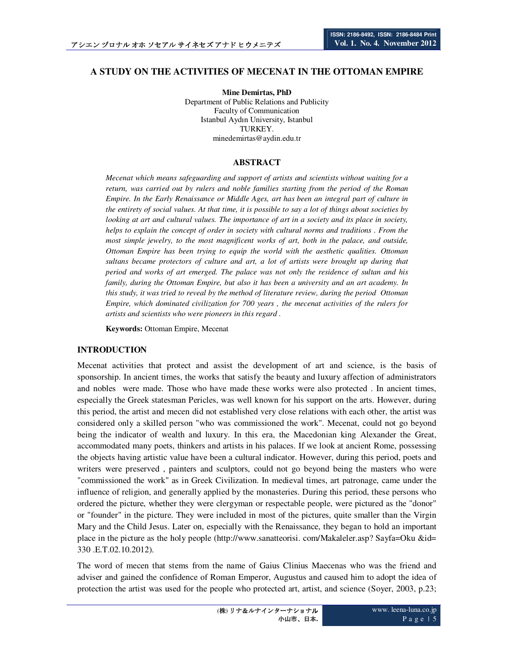# **A STUDY ON THE ACTIVITIES OF MECENAT IN THE OTTOMAN EMPIRE**

**Mine Demirtas, PhD**  Department of Public Relations and Publicity Faculty of Communication Istanbul Aydın University, Istanbul TURKEY. minedemirtas@aydin.edu.tr

# **ABSTRACT**

*Mecenat which means safeguarding and support of artists and scientists without waiting for a return, was carried out by rulers and noble families starting from the period of the Roman Empire. In the Early Renaissance or Middle Ages, art has been an integral part of culture in the entirety of social values. At that time, it is possible to say a lot of things about societies by looking at art and cultural values. The importance of art in a society and its place in society, helps to explain the concept of order in society with cultural norms and traditions . From the most simple jewelry, to the most magnificent works of art, both in the palace, and outside, Ottoman Empire has been trying to equip the world with the aesthetic qualities. Ottoman sultans became protectors of culture and art, a lot of artists were brought up during that period and works of art emerged. The palace was not only the residence of sultan and his family, during the Ottoman Empire, but also it has been a university and an art academy. In this study, it was tried to reveal by the method of literature review, during the period Ottoman Empire, which dominated civilization for 700 years , the mecenat activities of the rulers for artists and scientists who were pioneers in this regard .* 

**Keywords:** Ottoman Empire, Mecenat

## **INTRODUCTION**

Mecenat activities that protect and assist the development of art and science, is the basis of sponsorship. In ancient times, the works that satisfy the beauty and luxury affection of administrators and nobles were made. Those who have made these works were also protected . In ancient times, especially the Greek statesman Pericles, was well known for his support on the arts. However, during this period, the artist and mecen did not established very close relations with each other, the artist was considered only a skilled person "who was commissioned the work". Mecenat, could not go beyond being the indicator of wealth and luxury. In this era, the Macedonian king Alexander the Great, accommodated many poets, thinkers and artists in his palaces. If we look at ancient Rome, possessing the objects having artistic value have been a cultural indicator. However, during this period, poets and writers were preserved , painters and sculptors, could not go beyond being the masters who were "commissioned the work" as in Greek Civilization. In medieval times, art patronage, came under the influence of religion, and generally applied by the monasteries. During this period, these persons who ordered the picture, whether they were clergyman or respectable people, were pictured as the "donor" or "founder" in the picture. They were included in most of the pictures, quite smaller than the Virgin Mary and the Child Jesus. Later on, especially with the Renaissance, they began to hold an important place in the picture as the holy people (http://www.sanatteorisi. com/Makaleler.asp? Sayfa=Oku &id= 330 .E.T.02.10.2012).

The word of mecen that stems from the name of Gaius Clinius Maecenas who was the friend and adviser and gained the confidence of Roman Emperor, Augustus and caused him to adopt the idea of protection the artist was used for the people who protected art, artist, and science (Soyer, 2003, p.23;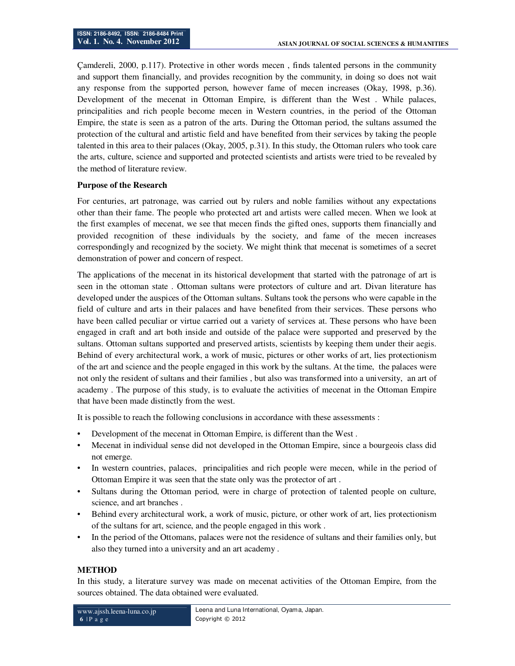Çamdereli, 2000, p.117). Protective in other words mecen , finds talented persons in the community and support them financially, and provides recognition by the community, in doing so does not wait any response from the supported person, however fame of mecen increases (Okay, 1998, p.36). Development of the mecenat in Ottoman Empire, is different than the West . While palaces, principalities and rich people become mecen in Western countries, in the period of the Ottoman Empire, the state is seen as a patron of the arts. During the Ottoman period, the sultans assumed the protection of the cultural and artistic field and have benefited from their services by taking the people talented in this area to their palaces (Okay, 2005, p.31). In this study, the Ottoman rulers who took care the arts, culture, science and supported and protected scientists and artists were tried to be revealed by the method of literature review.

## **Purpose of the Research**

For centuries, art patronage, was carried out by rulers and noble families without any expectations other than their fame. The people who protected art and artists were called mecen. When we look at the first examples of mecenat, we see that mecen finds the gifted ones, supports them financially and provided recognition of these individuals by the society, and fame of the mecen increases correspondingly and recognized by the society. We might think that mecenat is sometimes of a secret demonstration of power and concern of respect.

The applications of the mecenat in its historical development that started with the patronage of art is seen in the ottoman state . Ottoman sultans were protectors of culture and art. Divan literature has developed under the auspices of the Ottoman sultans. Sultans took the persons who were capable in the field of culture and arts in their palaces and have benefited from their services. These persons who have been called peculiar or virtue carried out a variety of services at. These persons who have been engaged in craft and art both inside and outside of the palace were supported and preserved by the sultans. Ottoman sultans supported and preserved artists, scientists by keeping them under their aegis. Behind of every architectural work, a work of music, pictures or other works of art, lies protectionism of the art and science and the people engaged in this work by the sultans. At the time, the palaces were not only the resident of sultans and their families , but also was transformed into a university, an art of academy . The purpose of this study, is to evaluate the activities of mecenat in the Ottoman Empire that have been made distinctly from the west.

It is possible to reach the following conclusions in accordance with these assessments :

- Development of the mecenat in Ottoman Empire, is different than the West .
- Mecenat in individual sense did not developed in the Ottoman Empire, since a bourgeois class did not emerge.
- In western countries, palaces, principalities and rich people were mecen, while in the period of Ottoman Empire it was seen that the state only was the protector of art .
- Sultans during the Ottoman period, were in charge of protection of talented people on culture, science, and art branches .
- Behind every architectural work, a work of music, picture, or other work of art, lies protectionism of the sultans for art, science, and the people engaged in this work .
- In the period of the Ottomans, palaces were not the residence of sultans and their families only, but also they turned into a university and an art academy .

## **METHOD**

In this study, a literature survey was made on mecenat activities of the Ottoman Empire, from the sources obtained. The data obtained were evaluated.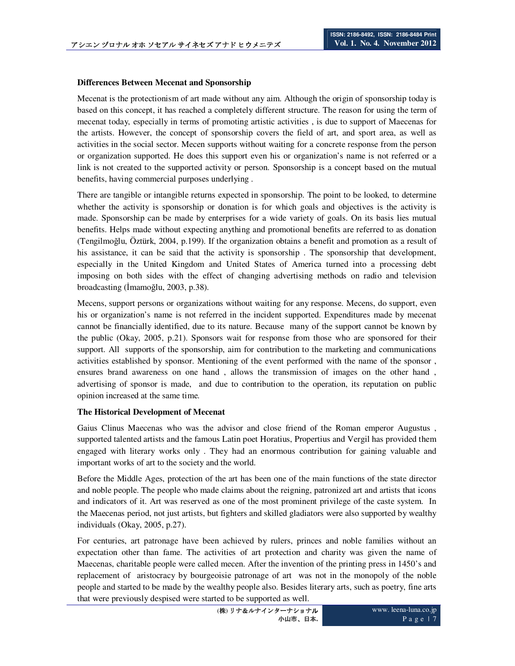# **Differences Between Mecenat and Sponsorship**

Mecenat is the protectionism of art made without any aim. Although the origin of sponsorship today is based on this concept, it has reached a completely different structure. The reason for using the term of mecenat today, especially in terms of promoting artistic activities , is due to support of Maecenas for the artists. However, the concept of sponsorship covers the field of art, and sport area, as well as activities in the social sector. Mecen supports without waiting for a concrete response from the person or organization supported. He does this support even his or organization's name is not referred or a link is not created to the supported activity or person. Sponsorship is a concept based on the mutual benefits, having commercial purposes underlying .

There are tangible or intangible returns expected in sponsorship. The point to be looked, to determine whether the activity is sponsorship or donation is for which goals and objectives is the activity is made. Sponsorship can be made by enterprises for a wide variety of goals. On its basis lies mutual benefits. Helps made without expecting anything and promotional benefits are referred to as donation (Tengilmoğlu, Öztürk, 2004, p.199). If the organization obtains a benefit and promotion as a result of his assistance, it can be said that the activity is sponsorship. The sponsorship that development, especially in the United Kingdom and United States of America turned into a processing debt imposing on both sides with the effect of changing advertising methods on radio and television broadcasting (İmamoğlu, 2003, p.38).

Mecens, support persons or organizations without waiting for any response. Mecens, do support, even his or organization's name is not referred in the incident supported. Expenditures made by mecenat cannot be financially identified, due to its nature. Because many of the support cannot be known by the public (Okay, 2005, p.21). Sponsors wait for response from those who are sponsored for their support. All supports of the sponsorship, aim for contribution to the marketing and communications activities established by sponsor. Mentioning of the event performed with the name of the sponsor , ensures brand awareness on one hand , allows the transmission of images on the other hand , advertising of sponsor is made, and due to contribution to the operation, its reputation on public opinion increased at the same time.

## **The Historical Development of Mecenat**

Gaius Clinus Maecenas who was the advisor and close friend of the Roman emperor Augustus , supported talented artists and the famous Latin poet Horatius, Propertius and Vergil has provided them engaged with literary works only . They had an enormous contribution for gaining valuable and important works of art to the society and the world.

Before the Middle Ages, protection of the art has been one of the main functions of the state director and noble people. The people who made claims about the reigning, patronized art and artists that icons and indicators of it. Art was reserved as one of the most prominent privilege of the caste system. In the Maecenas period, not just artists, but fighters and skilled gladiators were also supported by wealthy individuals (Okay, 2005, p.27).

For centuries, art patronage have been achieved by rulers, princes and noble families without an expectation other than fame. The activities of art protection and charity was given the name of Maecenas, charitable people were called mecen. After the invention of the printing press in 1450's and replacement of aristocracy by bourgeoisie patronage of art was not in the monopoly of the noble people and started to be made by the wealthy people also. Besides literary arts, such as poetry, fine arts that were previously despised were started to be supported as well.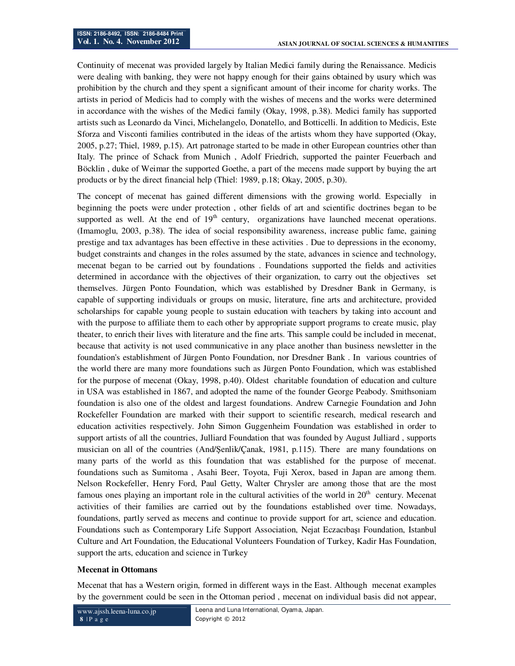Continuity of mecenat was provided largely by Italian Medici family during the Renaissance. Medicis were dealing with banking, they were not happy enough for their gains obtained by usury which was prohibition by the church and they spent a significant amount of their income for charity works. The artists in period of Medicis had to comply with the wishes of mecens and the works were determined in accordance with the wishes of the Medici family (Okay, 1998, p.38). Medici family has supported artists such as Leonardo da Vinci, Michelangelo, Donatello, and Botticelli. In addition to Medicis, Este Sforza and Visconti families contributed in the ideas of the artists whom they have supported (Okay, 2005, p.27; Thiel, 1989, p.15). Art patronage started to be made in other European countries other than Italy. The prince of Schack from Munich , Adolf Friedrich, supported the painter Feuerbach and Böcklin , duke of Weimar the supported Goethe, a part of the mecens made support by buying the art products or by the direct financial help (Thiel: 1989, p.18; Okay, 2005, p.30).

The concept of mecenat has gained different dimensions with the growing world. Especially in beginning the poets were under protection , other fields of art and scientific doctrines began to be supported as well. At the end of  $19<sup>th</sup>$  century, organizations have launched mecenat operations. (Imamoglu, 2003, p.38). The idea of social responsibility awareness, increase public fame, gaining prestige and tax advantages has been effective in these activities . Due to depressions in the economy, budget constraints and changes in the roles assumed by the state, advances in science and technology, mecenat began to be carried out by foundations . Foundations supported the fields and activities determined in accordance with the objectives of their organization, to carry out the objectives set themselves. Jürgen Ponto Foundation, which was established by Dresdner Bank in Germany, is capable of supporting individuals or groups on music, literature, fine arts and architecture, provided scholarships for capable young people to sustain education with teachers by taking into account and with the purpose to affiliate them to each other by appropriate support programs to create music, play theater, to enrich their lives with literature and the fine arts. This sample could be included in mecenat, because that activity is not used communicative in any place another than business newsletter in the foundation's establishment of Jürgen Ponto Foundation, nor Dresdner Bank . In various countries of the world there are many more foundations such as Jürgen Ponto Foundation, which was established for the purpose of mecenat (Okay, 1998, p.40). Oldest charitable foundation of education and culture in USA was established in 1867, and adopted the name of the founder George Peabody. Smithsoniam foundation is also one of the oldest and largest foundations. Andrew Carnegie Foundation and John Rockefeller Foundation are marked with their support to scientific research, medical research and education activities respectively. John Simon Guggenheim Foundation was established in order to support artists of all the countries, Julliard Foundation that was founded by August Julliard , supports musician on all of the countries (And/Şenlik/Çanak, 1981, p.115). There are many foundations on many parts of the world as this foundation that was established for the purpose of mecenat. foundations such as Sumitoma , Asahi Beer, Toyota, Fuji Xerox, based in Japan are among them. Nelson Rockefeller, Henry Ford, Paul Getty, Walter Chrysler are among those that are the most famous ones playing an important role in the cultural activities of the world in  $20<sup>th</sup>$  century. Mecenat activities of their families are carried out by the foundations established over time. Nowadays, foundations, partly served as mecens and continue to provide support for art, science and education. Foundations such as Contemporary Life Support Association, Nejat Eczacıbaşı Foundation, Istanbul Culture and Art Foundation, the Educational Volunteers Foundation of Turkey, Kadir Has Foundation, support the arts, education and science in Turkey

## **Mecenat in Ottomans**

Mecenat that has a Western origin, formed in different ways in the East. Although mecenat examples by the government could be seen in the Ottoman period , mecenat on individual basis did not appear,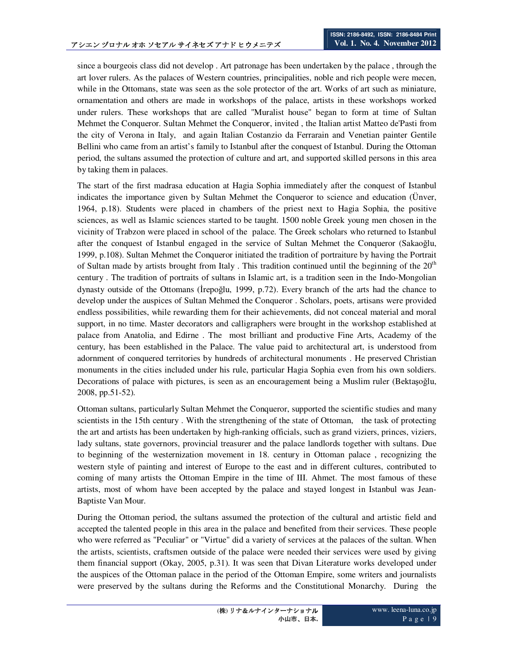since a bourgeois class did not develop . Art patronage has been undertaken by the palace , through the art lover rulers. As the palaces of Western countries, principalities, noble and rich people were mecen, while in the Ottomans, state was seen as the sole protector of the art. Works of art such as miniature, ornamentation and others are made in workshops of the palace, artists in these workshops worked under rulers. These workshops that are called "Muralist house" began to form at time of Sultan Mehmet the Conqueror. Sultan Mehmet the Conqueror, invited , the Italian artist Matteo de'Pasti from the city of Verona in Italy, and again Italian Costanzio da Ferrarain and Venetian painter Gentile Bellini who came from an artist's family to Istanbul after the conquest of Istanbul. During the Ottoman period, the sultans assumed the protection of culture and art, and supported skilled persons in this area by taking them in palaces.

The start of the first madrasa education at Hagia Sophia immediately after the conquest of Istanbul indicates the importance given by Sultan Mehmet the Conqueror to science and education (Ünver, 1964, p.18). Students were placed in chambers of the priest next to Hagia Sophia, the positive sciences, as well as Islamic sciences started to be taught. 1500 noble Greek young men chosen in the vicinity of Trabzon were placed in school of the palace. The Greek scholars who returned to Istanbul after the conquest of Istanbul engaged in the service of Sultan Mehmet the Conqueror (Sakaoğlu, 1999, p.108). Sultan Mehmet the Conqueror initiated the tradition of portraiture by having the Portrait of Sultan made by artists brought from Italy. This tradition continued until the beginning of the 20<sup>th</sup> century . The tradition of portraits of sultans in Islamic art, is a tradition seen in the Indo-Mongolian dynasty outside of the Ottomans (Irepoğlu, 1999, p.72). Every branch of the arts had the chance to develop under the auspices of Sultan Mehmed the Conqueror . Scholars, poets, artisans were provided endless possibilities, while rewarding them for their achievements, did not conceal material and moral support, in no time. Master decorators and calligraphers were brought in the workshop established at palace from Anatolia, and Edirne . The most brilliant and productive Fine Arts, Academy of the century, has been established in the Palace. The value paid to architectural art, is understood from adornment of conquered territories by hundreds of architectural monuments . He preserved Christian monuments in the cities included under his rule, particular Hagia Sophia even from his own soldiers. Decorations of palace with pictures, is seen as an encouragement being a Muslim ruler (Bektaşoğlu, 2008, pp.51-52).

Ottoman sultans, particularly Sultan Mehmet the Conqueror, supported the scientific studies and many scientists in the 15th century . With the strengthening of the state of Ottoman, the task of protecting the art and artists has been undertaken by high-ranking officials, such as grand viziers, princes, viziers, lady sultans, state governors, provincial treasurer and the palace landlords together with sultans. Due to beginning of the westernization movement in 18. century in Ottoman palace , recognizing the western style of painting and interest of Europe to the east and in different cultures, contributed to coming of many artists the Ottoman Empire in the time of III. Ahmet. The most famous of these artists, most of whom have been accepted by the palace and stayed longest in Istanbul was Jean-Baptiste Van Mour.

During the Ottoman period, the sultans assumed the protection of the cultural and artistic field and accepted the talented people in this area in the palace and benefited from their services. These people who were referred as "Peculiar" or "Virtue" did a variety of services at the palaces of the sultan. When the artists, scientists, craftsmen outside of the palace were needed their services were used by giving them financial support (Okay, 2005, p.31). It was seen that Divan Literature works developed under the auspices of the Ottoman palace in the period of the Ottoman Empire, some writers and journalists were preserved by the sultans during the Reforms and the Constitutional Monarchy. During the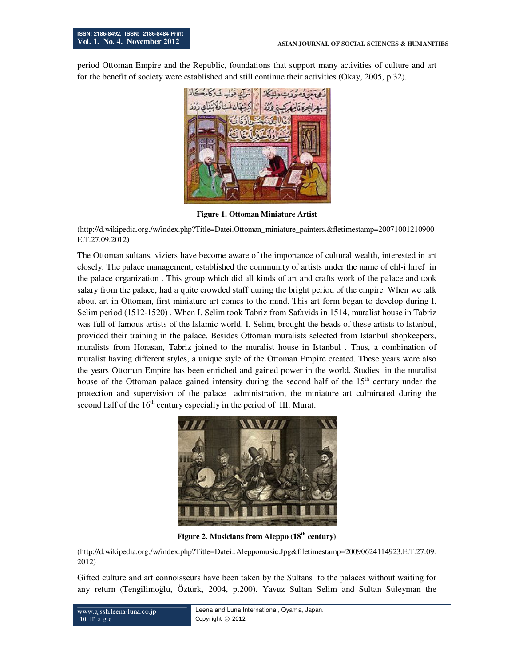period Ottoman Empire and the Republic, foundations that support many activities of culture and art for the benefit of society were established and still continue their activities (Okay, 2005, p.32).



**Figure 1. Ottoman Miniature Artist** 

(http://d.wikipedia.org./w/index.php?Title=Datei.Ottoman\_miniature\_painters.&fletimestamp=20071001210900 E.T.27.09.2012)

The Ottoman sultans, viziers have become aware of the importance of cultural wealth, interested in art closely. The palace management, established the community of artists under the name of ehl-i hıref in the palace organization . This group which did all kinds of art and crafts work of the palace and took salary from the palace, had a quite crowded staff during the bright period of the empire. When we talk about art in Ottoman, first miniature art comes to the mind. This art form began to develop during I. Selim period (1512-1520) . When I. Selim took Tabriz from Safavids in 1514, muralist house in Tabriz was full of famous artists of the Islamic world. I. Selim, brought the heads of these artists to Istanbul, provided their training in the palace. Besides Ottoman muralists selected from Istanbul shopkeepers, muralists from Horasan, Tabriz joined to the muralist house in Istanbul . Thus, a combination of muralist having different styles, a unique style of the Ottoman Empire created. These years were also the years Ottoman Empire has been enriched and gained power in the world. Studies in the muralist house of the Ottoman palace gained intensity during the second half of the  $15<sup>th</sup>$  century under the protection and supervision of the palace administration, the miniature art culminated during the second half of the  $16<sup>th</sup>$  century especially in the period of III. Murat.



**Figure 2. Musicians from Aleppo (18th century)** 

(http://d.wikipedia.org./w/index.php?Title=Datei.:Aleppomusic.Jpg&filetimestamp=20090624114923.E.T.27.09. 2012)

Gifted culture and art connoisseurs have been taken by the Sultans to the palaces without waiting for any return (Tengilimoğlu, Öztürk, 2004, p.200). Yavuz Sultan Selim and Sultan Süleyman the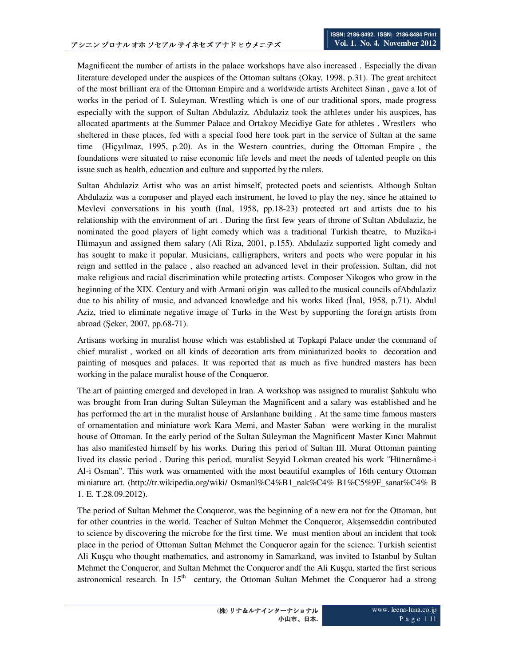Magnificent the number of artists in the palace workshops have also increased . Especially the divan literature developed under the auspices of the Ottoman sultans (Okay, 1998, p.31). The great architect of the most brilliant era of the Ottoman Empire and a worldwide artists Architect Sinan , gave a lot of works in the period of I. Suleyman. Wrestling which is one of our traditional spors, made progress especially with the support of Sultan Abdulaziz. Abdulaziz took the athletes under his auspices, has allocated apartments at the Summer Palace and Ortakoy Mecidiye Gate for athletes . Wrestlers who sheltered in these places, fed with a special food here took part in the service of Sultan at the same time (Hiçyılmaz, 1995, p.20). As in the Western countries, during the Ottoman Empire , the foundations were situated to raise economic life levels and meet the needs of talented people on this issue such as health, education and culture and supported by the rulers.

Sultan Abdulaziz Artist who was an artist himself, protected poets and scientists. Although Sultan Abdulaziz was a composer and played each instrument, he loved to play the ney, since he attained to Mevlevi conversations in his youth (Inal, 1958, pp.18-23) protected art and artists due to his relationship with the environment of art . During the first few years of throne of Sultan Abdulaziz, he nominated the good players of light comedy which was a traditional Turkish theatre, to Muzika-i Hümayun and assigned them salary (Ali Riza, 2001, p.155). Abdulaziz supported light comedy and has sought to make it popular. Musicians, calligraphers, writers and poets who were popular in his reign and settled in the palace , also reached an advanced level in their profession. Sultan, did not make religious and racial discrimination while protecting artists. Composer Nikogos who grow in the beginning of the XIX. Century and with Armani origin was called to the musical councils of Abdulaziz due to his ability of music, and advanced knowledge and his works liked (Inal, 1958, p.71). Abdul Aziz, tried to eliminate negative image of Turks in the West by supporting the foreign artists from abroad (Şeker, 2007, pp.68-71).

Artisans working in muralist house which was established at Topkapi Palace under the command of chief muralist , worked on all kinds of decoration arts from miniaturized books to decoration and painting of mosques and palaces. It was reported that as much as five hundred masters has been working in the palace muralist house of the Conqueror.

The art of painting emerged and developed in Iran. A workshop was assigned to muralist Şahkulu who was brought from Iran during Sultan Süleyman the Magnificent and a salary was established and he has performed the art in the muralist house of Arslanhane building . At the same time famous masters of ornamentation and miniature work Kara Memi, and Master Saban were working in the muralist house of Ottoman. In the early period of the Sultan Süleyman the Magnificent Master Kıncı Mahmut has also manifested himself by his works. During this period of Sultan III. Murat Ottoman painting lived its classic period . During this period, muralist Seyyid Lokman created his work "Hünernâme-i Al-i Osman". This work was ornamented with the most beautiful examples of 16th century Ottoman miniature art. (http://tr.wikipedia.org/wiki/ Osmanl%C4%B1\_nak%C4% B1%C5%9F\_sanat%C4% B 1. E. T.28.09.2012).

The period of Sultan Mehmet the Conqueror, was the beginning of a new era not for the Ottoman, but for other countries in the world. Teacher of Sultan Mehmet the Conqueror, Akşemseddin contributed to science by discovering the microbe for the first time. We must mention about an incident that took place in the period of Ottoman Sultan Mehmet the Conqueror again for the science. Turkish scientist Ali Kuşçu who thought mathematics, and astronomy in Samarkand, was invited to Istanbul by Sultan Mehmet the Conqueror, and Sultan Mehmet the Conqueror andf the Ali Kuşçu, started the first serious astronomical research. In  $15<sup>th</sup>$  century, the Ottoman Sultan Mehmet the Conqueror had a strong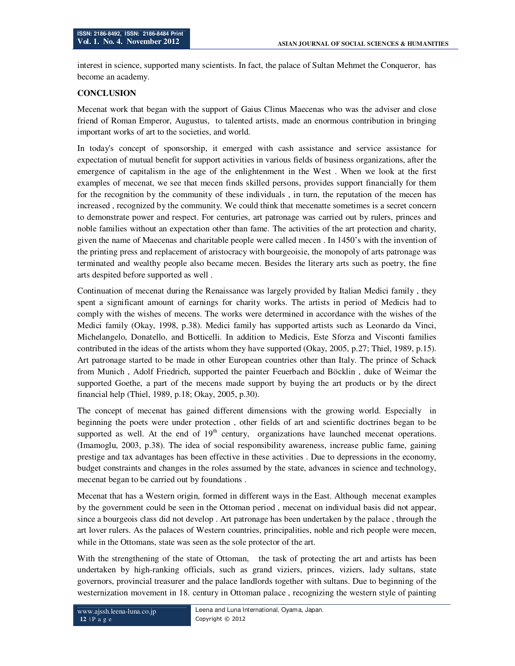interest in science, supported many scientists. In fact, the palace of Sultan Mehmet the Conqueror, has become an academy.

# **CONCLUSION**

Mecenat work that began with the support of Gaius Clinus Maecenas who was the adviser and close friend of Roman Emperor, Augustus, to talented artists, made an enormous contribution in bringing important works of art to the societies, and world.

In today's concept of sponsorship, it emerged with cash assistance and service assistance for expectation of mutual benefit for support activities in various fields of business organizations, after the emergence of capitalism in the age of the enlightenment in the West . When we look at the first examples of mecenat, we see that mecen finds skilled persons, provides support financially for them for the recognition by the community of these individuals , in turn, the reputation of the mecen has increased , recognized by the community. We could think that mecenatte sometimes is a secret concern to demonstrate power and respect. For centuries, art patronage was carried out by rulers, princes and noble families without an expectation other than fame. The activities of the art protection and charity, given the name of Maecenas and charitable people were called mecen . In 1450's with the invention of the printing press and replacement of aristocracy with bourgeoisie, the monopoly of arts patronage was terminated and wealthy people also became mecen. Besides the literary arts such as poetry, the fine arts despited before supported as well .

Continuation of mecenat during the Renaissance was largely provided by Italian Medici family , they spent a significant amount of earnings for charity works. The artists in period of Medicis had to comply with the wishes of mecens. The works were determined in accordance with the wishes of the Medici family (Okay, 1998, p.38). Medici family has supported artists such as Leonardo da Vinci, Michelangelo, Donatello, and Botticelli. In addition to Medicis, Este Sforza and Visconti families contributed in the ideas of the artists whom they have supported (Okay, 2005, p.27; Thiel, 1989, p.15). Art patronage started to be made in other European countries other than Italy. The prince of Schack from Munich , Adolf Friedrich, supported the painter Feuerbach and Böcklin , duke of Weimar the supported Goethe, a part of the mecens made support by buying the art products or by the direct financial help (Thiel, 1989, p.18; Okay, 2005, p.30).

The concept of mecenat has gained different dimensions with the growing world. Especially in beginning the poets were under protection , other fields of art and scientific doctrines began to be supported as well. At the end of  $19<sup>th</sup>$  century, organizations have launched mecenat operations. (Imamoglu, 2003, p.38). The idea of social responsibility awareness, increase public fame, gaining prestige and tax advantages has been effective in these activities . Due to depressions in the economy, budget constraints and changes in the roles assumed by the state, advances in science and technology, mecenat began to be carried out by foundations .

Mecenat that has a Western origin, formed in different ways in the East. Although mecenat examples by the government could be seen in the Ottoman period , mecenat on individual basis did not appear, since a bourgeois class did not develop . Art patronage has been undertaken by the palace , through the art lover rulers. As the palaces of Western countries, principalities, noble and rich people were mecen, while in the Ottomans, state was seen as the sole protector of the art.

With the strengthening of the state of Ottoman, the task of protecting the art and artists has been undertaken by high-ranking officials, such as grand viziers, princes, viziers, lady sultans, state governors, provincial treasurer and the palace landlords together with sultans. Due to beginning of the westernization movement in 18. century in Ottoman palace , recognizing the western style of painting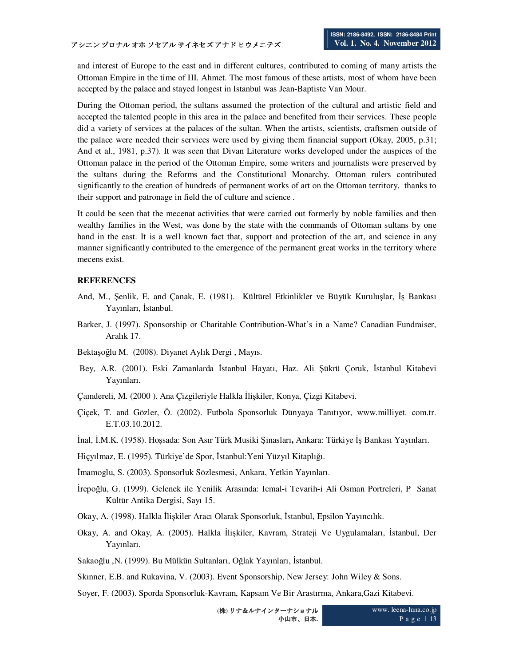and interest of Europe to the east and in different cultures, contributed to coming of many artists the Ottoman Empire in the time of III. Ahmet. The most famous of these artists, most of whom have been accepted by the palace and stayed longest in Istanbul was Jean-Baptiste Van Mour.

During the Ottoman period, the sultans assumed the protection of the cultural and artistic field and accepted the talented people in this area in the palace and benefited from their services. These people did a variety of services at the palaces of the sultan. When the artists, scientists, craftsmen outside of the palace were needed their services were used by giving them financial support (Okay, 2005, p.31; And et al., 1981, p.37). It was seen that Divan Literature works developed under the auspices of the Ottoman palace in the period of the Ottoman Empire, some writers and journalists were preserved by the sultans during the Reforms and the Constitutional Monarchy. Ottoman rulers contributed significantly to the creation of hundreds of permanent works of art on the Ottoman territory, thanks to their support and patronage in field the of culture and science .

It could be seen that the mecenat activities that were carried out formerly by noble families and then wealthy families in the West, was done by the state with the commands of Ottoman sultans by one hand in the east. It is a well known fact that, support and protection of the art, and science in any manner significantly contributed to the emergence of the permanent great works in the territory where mecens exist.

## **REFERENCES**

- And, M., Şenlik, E. and Çanak, E. (1981). Kültürel Etkinlikler ve Büyük Kuruluşlar, İş Bankası Yayınları, İstanbul.
- Barker, J. (1997). Sponsorship or Charitable Contribution-What's in a Name? Canadian Fundraiser, Aralık 17.
- Bektaşoğlu M. (2008). Diyanet Aylık Dergi , Mayıs.
- Bey, A.R. (2001). Eski Zamanlarda İstanbul Hayatı, Haz. Ali Şükrü Çoruk, İstanbul Kitabevi Yayınları.
- Çamdereli, M. (2000). Ana Çizgileriyle Halkla İlişkiler, Konya, Çizgi Kitabevi.
- Çiçek, T. and Gözler, Ö. (2002). Futbola Sponsorluk Dünyaya Tanıtıyor, www.milliyet. com.tr. E.T.03.10.2012.
- Đnal, Đ.M.K. (1958). Hoşsada: Son Asır Türk Musiki Şinasları**,** Ankara: Türkiye Đş Bankası Yayınları.
- Hiçyılmaz, E. (1995). Türkiye'de Spor, İstanbul: Yeni Yüzyıl Kitaplığı.
- Đmamoglu, S. (2003). Sponsorluk Sözlesmesi, Ankara, Yetkin Yayınları.
- Đrepoğlu, G. (1999). Gelenek ile Yenilik Arasında: Icmal-i Tevarih-i Ali Osman Portreleri, P Sanat Kültür Antika Dergisi, Sayı 15.
- Okay, A. (1998). Halkla İlişkiler Aracı Olarak Sponsorluk, İstanbul, Epsilon Yayıncılık.
- Okay, A. and Okay, A. (2005). Halkla İlişkiler, Kavram, Strateji Ve Uygulamaları, İstanbul, Der Yayınları.
- Sakaoğlu ,N. (1999). Bu Mülkün Sultanları, Oğlak Yayınları, İstanbul.

Skınner, E.B. and Rukavina, V. (2003). Event Sponsorship, New Jersey: John Wiley & Sons.

Soyer, F. (2003). Sporda Sponsorluk-Kavram, Kapsam Ve Bir Arastırma, Ankara,Gazi Kitabevi.